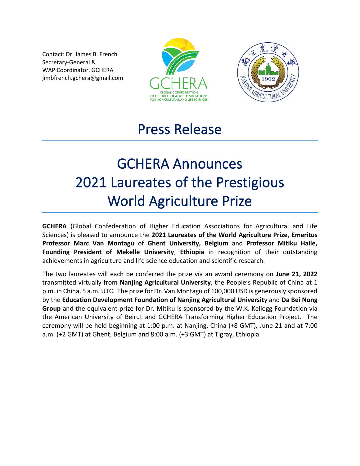Contact: Dr. James B. French Secretary-General & WAP Coordinator, GCHERA jimbfrench.gchera@gmail.com





## Press Release

## GCHERA Announces 2021 Laureates of the Prestigious World Agriculture Prize

**GCHERA** (Global Confederation of Higher Education Associations for Agricultural and Life Sciences) is pleased to announce the **2021 Laureates of the World Agriculture Prize**, **Emeritus Professor Marc Van Montagu** of **Ghent University, Belgium** and **Professor Mitiku Haile, Founding President of Mekelle University**, **Ethiopia** in recognition of their outstanding achievements in agriculture and life science education and scientific research.

The two laureates will each be conferred the prize via an award ceremony on **June 21, 2022**  transmitted virtually from **Nanjing Agricultural University**, the People's Republic of China at 1 p.m. in China, 5 a.m. UTC. The prize for Dr. Van Montagu of 100,000 USD is generously sponsored by the **Education Development Foundation of Nanjing Agricultural Universit**y and **Da Bei Nong Group** and the equivalent prize for Dr. Mitiku is sponsored by the W.K. Kellogg Foundation via the American University of Beirut and GCHERA Transforming Higher Education Project. The ceremony will be held beginning at 1:00 p.m. at Nanjing, China (+8 GMT), June 21 and at 7:00 a.m. (+2 GMT) at Ghent, Belgium and 8:00 a.m. (+3 GMT) at Tigray, Ethiopia.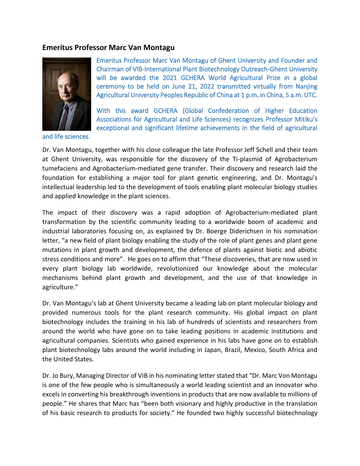## **Emeritus Professor Marc Van Montagu**



and life sciences.

Emeritus Professor Marc Van Montagu of Ghent University and Founder and Chairman of VIB-International Plant Biotechnology Outreach-Ghent University will be awarded the 2021 GCHERA World Agricultural Prize in a global ceremony to be held on June 21, 2022 transmitted virtually from Nanjing Agricultural University Peoples Republic of China at 1 p.m. in China, 5 a.m. UTC.

With this award GCHERA (Global Confederation of Higher Education Associations for Agricultural and Life Sciences) recognizes Professor Mitiku's exceptional and significant lifetime achievements in the field of agricultural

Dr. Van Montagu, together with his close colleague the late Professor Jeff Schell and their team at Ghent University, was responsible for the discovery of the Ti-plasmid of Agrobacterium tumefaciens and Agrobacterium-mediated gene transfer. Their discovery and research laid the foundation for establishing a major tool for plant genetic engineering, and Dr. Montagu's intellectual leadership led to the development of tools enabling plant molecular biology studies and applied knowledge in the plant sciences.

The impact of their discovery was a rapid adoption of Agrobacterium-mediated plant transformation by the scientific community leading to a worldwide boom of academic and industrial laboratories focusing on, as explained by Dr. Boerge Diderichsen in his nomination letter, "a new field of plant biology enabling the study of the role of plant genes and plant gene mutations in plant growth and development, the defence of plants against biotic and abiotic stress conditions and more". He goes on to affirm that "These discoveries, that are now used in every plant biology lab worldwide, revolutionized our knowledge about the molecular mechanisms behind plant growth and development, and the use of that knowledge in agriculture."

Dr. Van Montagu's lab at Ghent University became a leading lab on plant molecular biology and provided numerous tools for the plant research community. His global impact on plant biotechnology includes the training in his lab of hundreds of scientists and researchers from around the world who have gone on to take leading positions in academic institutions and agricultural companies. Scientists who gained experience in his labs have gone on to establish plant biotechnology labs around the world including in Japan, Brazil, Mexico, South Africa and the United States.

Dr. Jo Bury, Managing Director of VIB in his nominating letter stated that "Dr. Marc Von Montagu is one of the few people who is simultaneously a world leading scientist and an innovator who excels in converting his breakthrough inventions in products that are now available to millions of people." He shares that Marc has "been both visionary and highly productive in the translation of his basic research to products for society." He founded two highly successful biotechnology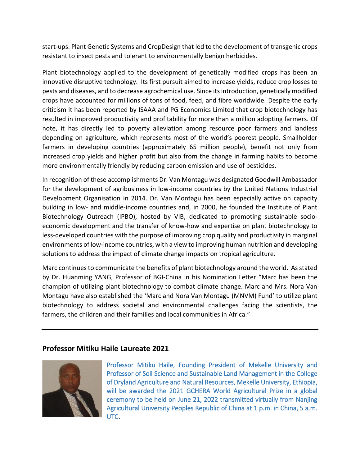start-ups: Plant Genetic Systems and CropDesign that led to the development of transgenic crops resistant to insect pests and tolerant to environmentally benign herbicides.

Plant biotechnology applied to the development of genetically modified crops has been an innovative disruptive technology. Its first pursuit aimed to increase yields, reduce crop losses to pests and diseases, and to decrease agrochemical use. Since its introduction, genetically modified crops have accounted for millions of tons of food, feed, and fibre worldwide. Despite the early criticism it has been reported by ISAAA and PG Economics Limited that crop biotechnology has resulted in improved productivity and profitability for more than a million adopting farmers. Of note, it has directly led to poverty alleviation among resource poor farmers and landless depending on agriculture, which represents most of the world's poorest people. Smallholder farmers in developing countries (approximately 65 million people), benefit not only from increased crop yields and higher profit but also from the change in farming habits to become more environmentally friendly by reducing carbon emission and use of pesticides.

In recognition of these accomplishments Dr. Van Montagu was designated Goodwill Ambassador for the development of agribusiness in low-income countries by the United Nations Industrial Development Organisation in 2014. Dr. Van Montagu has been especially active on capacity building in low- and middle-income countries and, in 2000, he founded the Institute of Plant Biotechnology Outreach (IPBO), hosted by VIB, dedicated to promoting sustainable socioeconomic development and the transfer of know-how and expertise on plant biotechnology to less-developed countries with the purpose of improving crop quality and productivity in marginal environments of low-income countries, with a view to improving human nutrition and developing solutions to address the impact of climate change impacts on tropical agriculture.

Marc continues to communicate the benefits of plant biotechnology around the world. As stated by Dr. Huanming YANG, Professor of BGI-China in his Nomination Letter "Marc has been the champion of utilizing plant biotechnology to combat climate change. Marc and Mrs. Nora Van Montagu have also established the 'Marc and Nora Van Montagu (MNVM) Fund' to utilize plant biotechnology to address societal and environmental challenges facing the scientists, the farmers, the children and their families and local communities in Africa."

## **Professor Mitiku Haile Laureate 2021**



Professor Mitiku Haile, Founding President of Mekelle University and Professor of Soil Science and Sustainable Land Management in the College of Dryland Agriculture and Natural Resources, Mekelle University, Ethiopia, will be awarded the 2021 GCHERA World Agricultural Prize in a global ceremony to be held on June 21, 2022 transmitted virtually from Nanjing Agricultural University Peoples Republic of China at 1 p.m. in China, 5 a.m. UTC.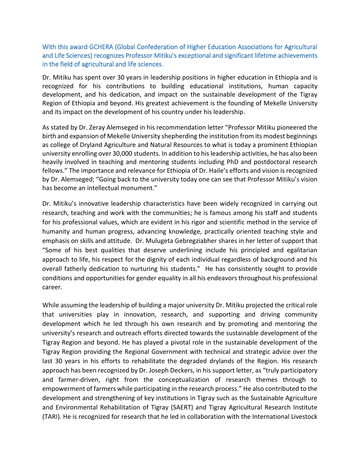With this award GCHERA (Global Confederation of Higher Education Associations for Agricultural and Life Sciences) recognizes Professor Mitiku's exceptional and significant lifetime achievements in the field of agricultural and life sciences.

Dr. Mitiku has spent over 30 years in leadership positions in higher education in Ethiopia and is recognized for his contributions to building educational institutions, human capacity development, and his dedication, and impact on the sustainable development of the Tigray Region of Ethiopia and beyond. His greatest achievement is the founding of Mekelle University and its impact on the development of his country under his leadership.

As stated by Dr. Zeray Alemseged in his recommendation letter "Professor Mitiku pioneered the birth and expansion of Mekelle University shepherding the institution from its modest beginnings as college of Dryland Agriculture and Natural Resources to what is today a prominent Ethiopian university enrolling over 30,000 students. In addition to his leadership activities, he has also been heavily involved in teaching and mentoring students including PhD and postdoctoral research fellows." The importance and relevance for Ethiopia of Dr. Haile's efforts and vision is recognized by Dr. Alemseged; "Going back to the university today one can see that Professor Mitiku's vision has become an intellectual monument."

Dr. Mitiku's innovative leadership characteristics have been widely recognized in carrying out research, teaching and work with the communities; he is famous among his staff and students for his professional values, which are evident in his rigor and scientific method in the service of humanity and human progress, advancing knowledge, practically oriented teaching style and emphasis on skills and attitude. Dr. Mulugeta Gebregziabher shares in her letter of support that "Some of his best qualities that deserve underlining include his principled and egalitarian approach to life, his respect for the dignity of each individual regardless of background and his overall fatherly dedication to nurturing his students." He has consistently sought to provide conditions and opportunities for gender equality in all his endeavors throughout his professional career.

While assuming the leadership of building a major university Dr. Mitiku projected the critical role that universities play in innovation, research, and supporting and driving community development which he led through his own research and by promoting and mentoring the university's research and outreach efforts directed towards the sustainable development of the Tigray Region and beyond. He has played a pivotal role in the sustainable development of the Tigray Region providing the Regional Government with technical and strategic advice over the last 30 years in his efforts to rehabilitate the degraded drylands of the Region. His research approach has been recognized by Dr. Joseph Deckers, in his support letter, as "truly participatory and farmer-driven, right from the conceptualization of research themes through to empowerment of farmers while participating in the research process." He also contributed to the development and strengthening of key institutions in Tigray such as the Sustainable Agriculture and Environmental Rehabilitation of Tigray (SAERT) and Tigray Agricultural Research Institute (TARI). He is recognized for research that he led in collaboration with the International Livestock